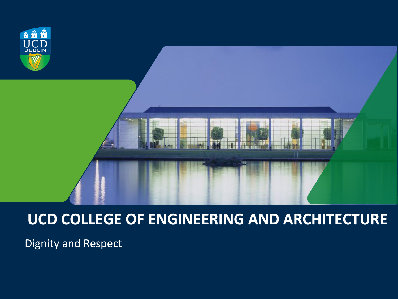

#### **UCD COLLEGE OF ENGINEERING AND ARCHITECTURE**

Dignity and Respect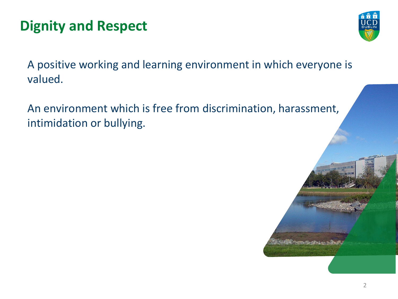### **Dignity and Respect**



A positive working and learning environment in which everyone is valued.

An environment which is free from discrimination, harassment, intimidation or bullying.

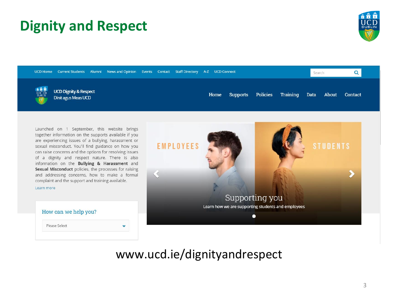#### **Dignity and Respect**





#### www.ucd.ie/dignityandrespect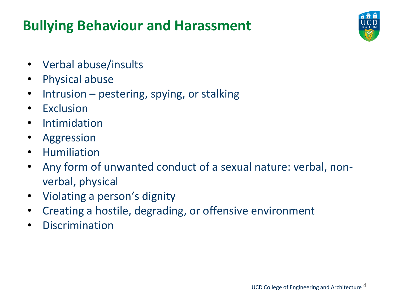### **Bullying Behaviour and Harassment**



- Verbal abuse/insults
- Physical abuse
- Intrusion pestering, spying, or stalking
- Exclusion
- Intimidation
- Aggression
- Humiliation
- Any form of unwanted conduct of a sexual nature: verbal, nonverbal, physical
- Violating a person's dignity
- Creating a hostile, degrading, or offensive environment
- Discrimination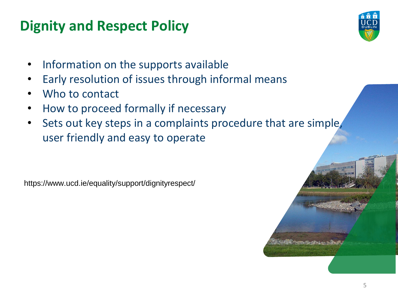#### **Dignity and Respect Policy**



- Information on the supports available
- Early resolution of issues through informal means
- Who to contact
- How to proceed formally if necessary
- Sets out key steps in a complaints procedure that are simple, user friendly and easy to operate

https://www.ucd.ie/equality/support/dignityrespect/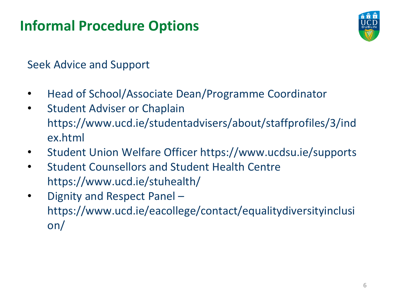#### **Informal Procedure Options**



Seek Advice and Support

- Head of School/Associate Dean/Programme Coordinator
- Student Adviser or Chaplain https://www.ucd.ie/studentadvisers/about/staffprofiles/3/ind ex.html
- Student Union Welfare Officer https://www.ucdsu.ie/supports
- Student Counsellors and Student Health Centre https://www.ucd.ie/stuhealth/
- Dignity and Respect Panel https://www.ucd.ie/eacollege/contact/equalitydiversityinclusi on/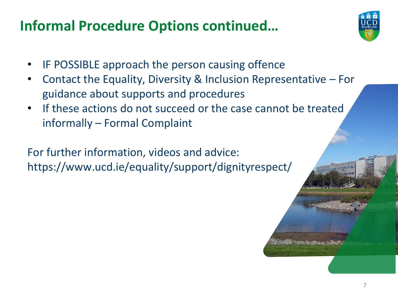#### **Informal Procedure Options continued…**



- IF POSSIBLE approach the person causing offence
- Contact the Equality, Diversity & Inclusion Representative For guidance about supports and procedures
- If these actions do not succeed or the case cannot be treated informally – Formal Complaint

For further information, videos and advice: https://www.ucd.ie/equality/support/dignityrespect/